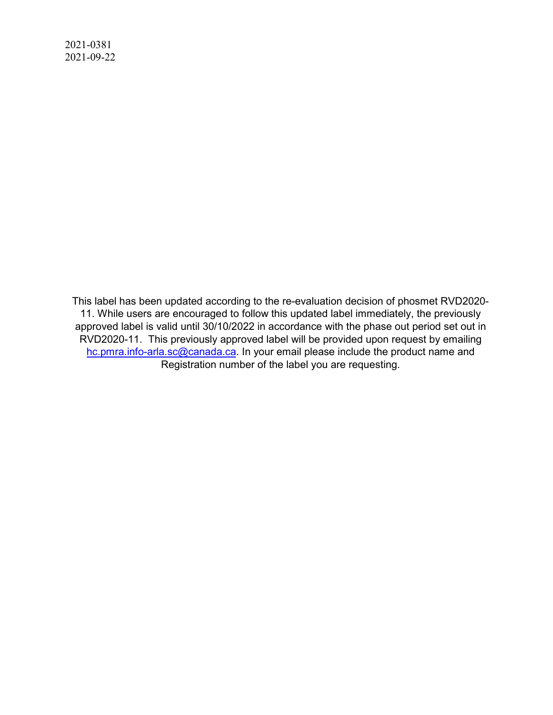2021-0381 2021-09-22

> This label has been updated according to the re-evaluation decision of phosmet RVD2020- 11. While users are encouraged to follow this updated label immediately, the previously approved label is valid until 30/10/2022 in accordance with the phase out period set out in RVD2020-11. This previously approved label will be provided upon request by emailing hc.pmra.info-arla.sc@canada.ca. In your email please include the product name and Registration number of the label you are requesting.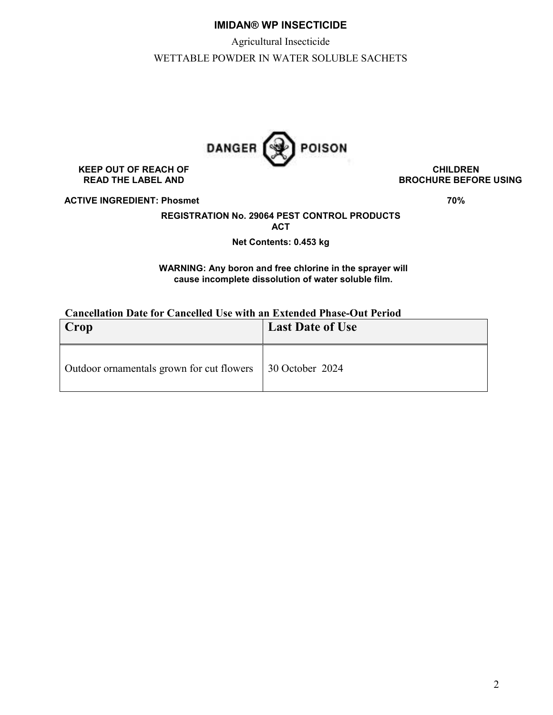# **IMIDAN® WP INSECTICIDE**

Agricultural Insecticide

WETTABLE POWDER IN WATER SOLUBLE SACHETS



KEEP OUT OF REACH OF **CHILDREN**<br>READ THE LABEL AND **REACH OF CHILDREN** 

**BROCHURE BEFORE USING** 

**ACTIVE INGREDIENT: Phosmet 70% 70%**  70%

**REGISTRATION No. 29064 PEST CONTROL PRODUCTS ACT** 

**Net Contents: 0.453 kg** 

## **WARNING: Any boron and free chlorine in the sprayer will cause incomplete dissolution of water soluble film.**

# **Cancellation Date for Cancelled Use with an Extended Phase-Out Period**

| Crop                                      | <b>Last Date of Use</b> |
|-------------------------------------------|-------------------------|
| Outdoor ornamentals grown for cut flowers | $\vert$ 30 October 2024 |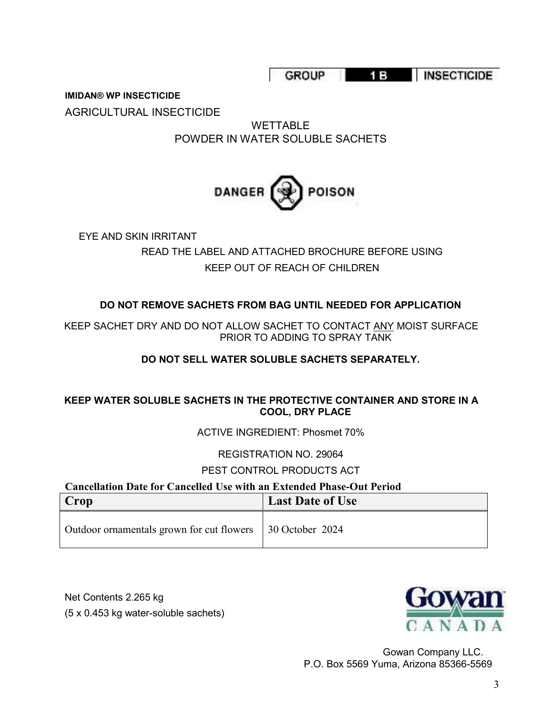GROUP 15 INSECTICIDE

**IMIDAN® WP INSECTICIDE** 

AGRICULTURAL INSECTICIDE

WETTABLE POWDER IN WATER SOLUBLE SACHETS

# **DANGER POISON**

EYE AND SKIN IRRITANT READ THE LABEL AND ATTACHED BROCHURE BEFORE USING KEEP OUT OF REACH OF CHILDREN

# **DO NOT REMOVE SACHETS FROM BAG UNTIL NEEDED FOR APPLICATION**

KEEP SACHET DRY AND DO NOT ALLOW SACHET TO CONTACT ANY MOIST SURFACE PRIOR TO ADDING TO SPRAY TANK

# **DO NOT SELL WATER SOLUBLE SACHETS SEPARATELY.**

# **KEEP WATER SOLUBLE SACHETS IN THE PROTECTIVE CONTAINER AND STORE IN A COOL, DRY PLACE**

ACTIVE INGREDIENT: Phosmet 70%

# REGISTRATION NO. 29064

# PEST CONTROL PRODUCTS ACT

# **Cancellation Date for Cancelled Use with an Extended Phase-Out Period**

| Crop                                                        | <b>Last Date of Use</b> |
|-------------------------------------------------------------|-------------------------|
| Outdoor ornamentals grown for cut flowers   30 October 2024 |                         |

Net Contents 2.265 kg (5 x 0.453 kg water-soluble sachets)



Gowan Company LLC. P.O. Box 5569 Yuma, Arizona 85366-5569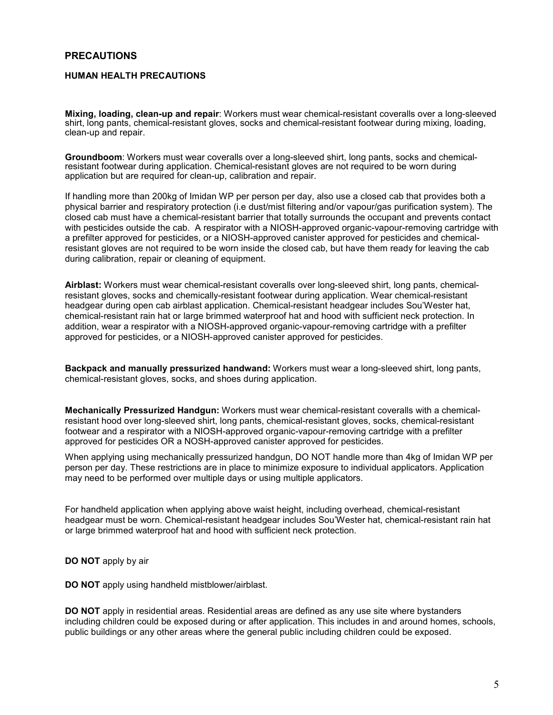## **PRECAUTIONS**

#### **HUMAN HEALTH PRECAUTIONS**

**Mixing, loading, clean-up and repair**: Workers must wear chemical-resistant coveralls over a long-sleeved shirt, long pants, chemical-resistant gloves, socks and chemical-resistant footwear during mixing, loading, clean-up and repair.

**Groundboom**: Workers must wear coveralls over a long-sleeved shirt, long pants, socks and chemicalresistant footwear during application. Chemical-resistant gloves are not required to be worn during application but are required for clean-up, calibration and repair.

If handling more than 200kg of Imidan WP per person per day, also use a closed cab that provides both a physical barrier and respiratory protection (i.e dust/mist filtering and/or vapour/gas purification system). The closed cab must have a chemical-resistant barrier that totally surrounds the occupant and prevents contact with pesticides outside the cab. A respirator with a NIOSH-approved organic-vapour-removing cartridge with a prefilter approved for pesticides, or a NIOSH-approved canister approved for pesticides and chemicalresistant gloves are not required to be worn inside the closed cab, but have them ready for leaving the cab during calibration, repair or cleaning of equipment.

**Airblast:** Workers must wear chemical-resistant coveralls over long-sleeved shirt, long pants, chemicalresistant gloves, socks and chemically-resistant footwear during application. Wear chemical-resistant headgear during open cab airblast application. Chemical-resistant headgear includes Sou'Wester hat, chemical-resistant rain hat or large brimmed waterproof hat and hood with sufficient neck protection. In addition, wear a respirator with a NIOSH-approved organic-vapour-removing cartridge with a prefilter approved for pesticides, or a NIOSH-approved canister approved for pesticides.

**Backpack and manually pressurized handwand:** Workers must wear a long-sleeved shirt, long pants, chemical-resistant gloves, socks, and shoes during application.

**Mechanically Pressurized Handgun:** Workers must wear chemical-resistant coveralls with a chemicalresistant hood over long-sleeved shirt, long pants, chemical-resistant gloves, socks, chemical-resistant footwear and a respirator with a NIOSH-approved organic-vapour-removing cartridge with a prefilter approved for pesticides OR a NOSH-approved canister approved for pesticides.

When applying using mechanically pressurized handgun, DO NOT handle more than 4kg of Imidan WP per person per day. These restrictions are in place to minimize exposure to individual applicators. Application may need to be performed over multiple days or using multiple applicators.

For handheld application when applying above waist height, including overhead, chemical-resistant headgear must be worn. Chemical-resistant headgear includes Sou'Wester hat, chemical-resistant rain hat or large brimmed waterproof hat and hood with sufficient neck protection.

**DO NOT** apply by air

**DO NOT** apply using handheld mistblower/airblast.

**DO NOT** apply in residential areas. Residential areas are defined as any use site where bystanders including children could be exposed during or after application. This includes in and around homes, schools, public buildings or any other areas where the general public including children could be exposed.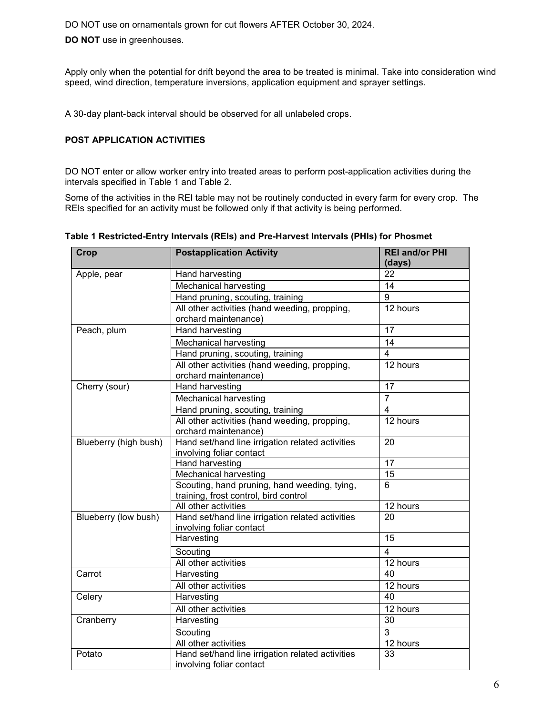DO NOT use on ornamentals grown for cut flowers AFTER October 30, 2024.

**DO NOT** use in greenhouses.

Apply only when the potential for drift beyond the area to be treated is minimal. Take into consideration wind speed, wind direction, temperature inversions, application equipment and sprayer settings.

A 30-day plant-back interval should be observed for all unlabeled crops.

## **POST APPLICATION ACTIVITIES**

DO NOT enter or allow worker entry into treated areas to perform post-application activities during the intervals specified in Table 1 and Table 2.

Some of the activities in the REI table may not be routinely conducted in every farm for every crop. The REIs specified for an activity must be followed only if that activity is being performed.

| <b>Crop</b>           | <b>Postapplication Activity</b>                                                       |                  |
|-----------------------|---------------------------------------------------------------------------------------|------------------|
| Apple, pear           | Hand harvesting                                                                       | 22               |
|                       | <b>Mechanical harvesting</b>                                                          | 14               |
|                       | Hand pruning, scouting, training                                                      | $\boldsymbol{9}$ |
|                       | All other activities (hand weeding, propping,<br>orchard maintenance)                 | 12 hours         |
| Peach, plum           | <b>Hand harvesting</b>                                                                | $\overline{17}$  |
|                       | Mechanical harvesting                                                                 | 14               |
|                       | Hand pruning, scouting, training                                                      | $\overline{4}$   |
|                       | All other activities (hand weeding, propping,<br>orchard maintenance)                 | 12 hours         |
| Cherry (sour)         | Hand harvesting                                                                       | 17               |
|                       | <b>Mechanical harvesting</b>                                                          | $\overline{7}$   |
|                       | Hand pruning, scouting, training                                                      | 4                |
|                       | All other activities (hand weeding, propping,<br>orchard maintenance)                 | 12 hours         |
| Blueberry (high bush) | Hand set/hand line irrigation related activities<br>involving foliar contact          | 20               |
|                       | <b>Hand harvesting</b>                                                                | $\overline{17}$  |
|                       | Mechanical harvesting                                                                 | $\overline{15}$  |
|                       | Scouting, hand pruning, hand weeding, tying,<br>training, frost control, bird control | 6                |
|                       | All other activities                                                                  | 12 hours         |
| Blueberry (low bush)  | Hand set/hand line irrigation related activities<br>involving foliar contact          | 20               |
|                       | Harvesting                                                                            | 15               |
|                       | Scouting                                                                              | 4                |
|                       | All other activities                                                                  | 12 hours         |
| Carrot                | Harvesting                                                                            | 40               |
|                       | All other activities                                                                  | 12 hours         |
| Celery                | Harvesting                                                                            | 40               |
|                       | All other activities                                                                  | 12 hours         |
| Cranberry             | Harvesting                                                                            | 30               |
|                       | Scouting                                                                              | $\overline{3}$   |
|                       | All other activities                                                                  | $12$ hours       |
| Potato                | Hand set/hand line irrigation related activities<br>involving foliar contact          | 33               |

#### **Table 1 Restricted-Entry Intervals (REIs) and Pre-Harvest Intervals (PHIs) for Phosmet**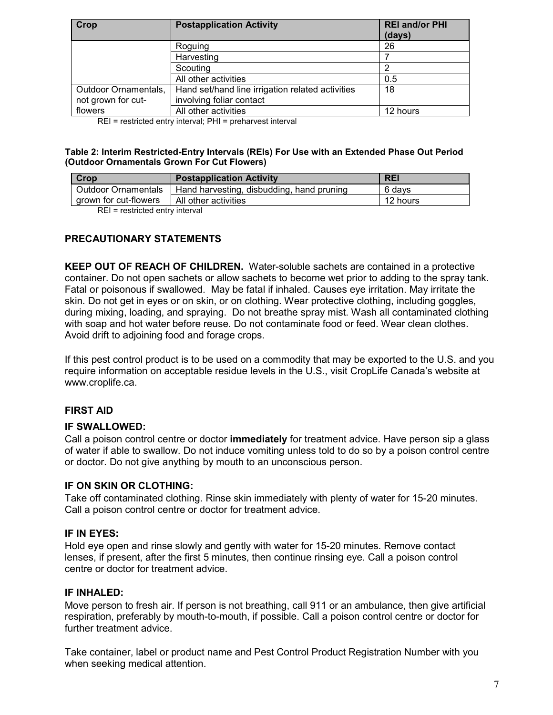| Crop                 | <b>Postapplication Activity</b>                  | <b>REI and/or PHI</b><br>(days) |  |
|----------------------|--------------------------------------------------|---------------------------------|--|
|                      | Roguing                                          | 26                              |  |
|                      | Harvesting                                       |                                 |  |
|                      | Scouting                                         | ົ                               |  |
|                      | All other activities                             | 0.5                             |  |
| Outdoor Ornamentals, | Hand set/hand line irrigation related activities | 18                              |  |
| not grown for cut-   | involving foliar contact                         |                                 |  |
| flowers              | All other activities                             | 12 hours                        |  |

REI = restricted entry interval; PHI = preharvest interval

## **Table 2: Interim Restricted-Entry Intervals (REIs) For Use with an Extended Phase Out Period (Outdoor Ornamentals Grown For Cut Flowers)**

| Crop                                   | <b>Postapplication Activity</b>           | <b>REI</b> |
|----------------------------------------|-------------------------------------------|------------|
| Outdoor Ornamentals                    | Hand harvesting, disbudding, hand pruning | 6 davs     |
| arown for cut-flowers                  | l All other activities                    | 12 hours   |
| <b>DEL</b> as stated at each other and |                                           |            |

REI = restricted entry interval

# **PRECAUTIONARY STATEMENTS**

**KEEP OUT OF REACH OF CHILDREN.** Water-soluble sachets are contained in a protective container. Do not open sachets or allow sachets to become wet prior to adding to the spray tank. Fatal or poisonous if swallowed. May be fatal if inhaled. Causes eye irritation. May irritate the skin. Do not get in eyes or on skin, or on clothing. Wear protective clothing, including goggles, during mixing, loading, and spraying. Do not breathe spray mist. Wash all contaminated clothing with soap and hot water before reuse. Do not contaminate food or feed. Wear clean clothes. Avoid drift to adjoining food and forage crops.

If this pest control product is to be used on a commodity that may be exported to the U.S. and you require information on acceptable residue levels in the U.S., visit CropLife Canada's website at www.croplife.ca.

# **FIRST AID**

## **IF SWALLOWED:**

Call a poison control centre or doctor **immediately** for treatment advice. Have person sip a glass of water if able to swallow. Do not induce vomiting unless told to do so by a poison control centre or doctor. Do not give anything by mouth to an unconscious person.

# **IF ON SKIN OR CLOTHING:**

Take off contaminated clothing. Rinse skin immediately with plenty of water for 15-20 minutes. Call a poison control centre or doctor for treatment advice.

# **IF IN EYES:**

Hold eye open and rinse slowly and gently with water for 15-20 minutes. Remove contact lenses, if present, after the first 5 minutes, then continue rinsing eye. Call a poison control centre or doctor for treatment advice.

# **IF INHALED:**

Move person to fresh air. If person is not breathing, call 911 or an ambulance, then give artificial respiration, preferably by mouth-to-mouth, if possible. Call a poison control centre or doctor for further treatment advice.

Take container, label or product name and Pest Control Product Registration Number with you when seeking medical attention.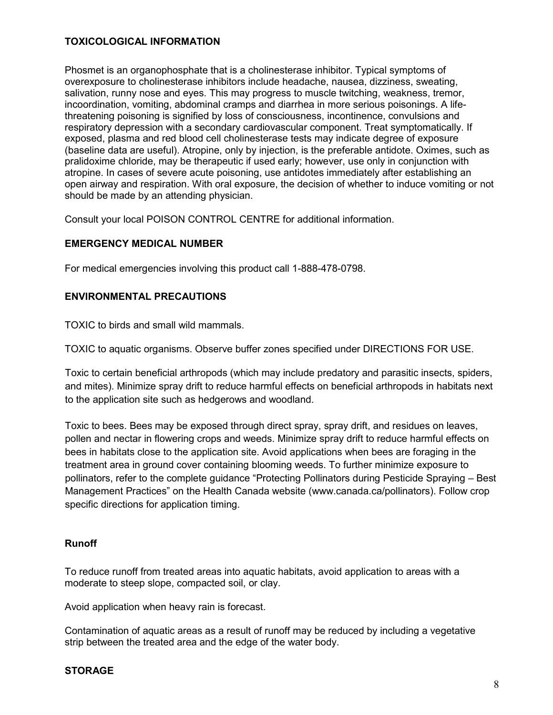# **TOXICOLOGICAL INFORMATION**

Phosmet is an organophosphate that is a cholinesterase inhibitor. Typical symptoms of overexposure to cholinesterase inhibitors include headache, nausea, dizziness, sweating, salivation, runny nose and eyes. This may progress to muscle twitching, weakness, tremor, incoordination, vomiting, abdominal cramps and diarrhea in more serious poisonings. A lifethreatening poisoning is signified by loss of consciousness, incontinence, convulsions and respiratory depression with a secondary cardiovascular component. Treat symptomatically. If exposed, plasma and red blood cell cholinesterase tests may indicate degree of exposure (baseline data are useful). Atropine, only by injection, is the preferable antidote. Oximes, such as pralidoxime chloride, may be therapeutic if used early; however, use only in conjunction with atropine. In cases of severe acute poisoning, use antidotes immediately after establishing an open airway and respiration. With oral exposure, the decision of whether to induce vomiting or not should be made by an attending physician.

Consult your local POISON CONTROL CENTRE for additional information.

## **EMERGENCY MEDICAL NUMBER**

For medical emergencies involving this product call 1-888-478-0798.

# **ENVIRONMENTAL PRECAUTIONS**

TOXIC to birds and small wild mammals.

TOXIC to aquatic organisms. Observe buffer zones specified under DIRECTIONS FOR USE.

Toxic to certain beneficial arthropods (which may include predatory and parasitic insects, spiders, and mites). Minimize spray drift to reduce harmful effects on beneficial arthropods in habitats next to the application site such as hedgerows and woodland.

Toxic to bees. Bees may be exposed through direct spray, spray drift, and residues on leaves, pollen and nectar in flowering crops and weeds. Minimize spray drift to reduce harmful effects on bees in habitats close to the application site. Avoid applications when bees are foraging in the treatment area in ground cover containing blooming weeds. To further minimize exposure to pollinators, refer to the complete guidance "Protecting Pollinators during Pesticide Spraying – Best Management Practices" on the Health Canada website (www.canada.ca/pollinators). Follow crop specific directions for application timing.

# **Runoff**

To reduce runoff from treated areas into aquatic habitats, avoid application to areas with a moderate to steep slope, compacted soil, or clay.

Avoid application when heavy rain is forecast.

Contamination of aquatic areas as a result of runoff may be reduced by including a vegetative strip between the treated area and the edge of the water body.

## **STORAGE**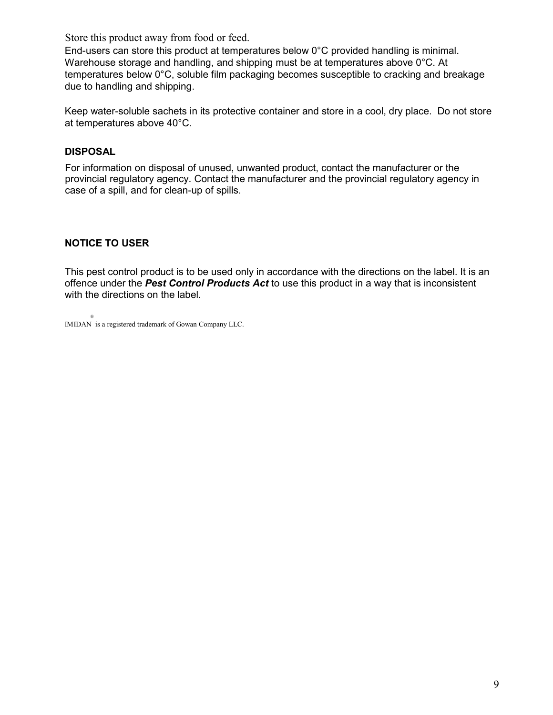Store this product away from food or feed.

End-users can store this product at temperatures below 0°C provided handling is minimal. Warehouse storage and handling, and shipping must be at temperatures above 0°C. At temperatures below 0°C, soluble film packaging becomes susceptible to cracking and breakage due to handling and shipping.

Keep water-soluble sachets in its protective container and store in a cool, dry place. Do not store at temperatures above 40°C.

# **DISPOSAL**

For information on disposal of unused, unwanted product, contact the manufacturer or the provincial regulatory agency. Contact the manufacturer and the provincial regulatory agency in case of a spill, and for clean-up of spills.

# **NOTICE TO USER**

This pest control product is to be used only in accordance with the directions on the label. It is an offence under the *Pest Control Products Act* to use this product in a way that is inconsistent with the directions on the label.

® IMIDAN is a registered trademark of Gowan Company LLC.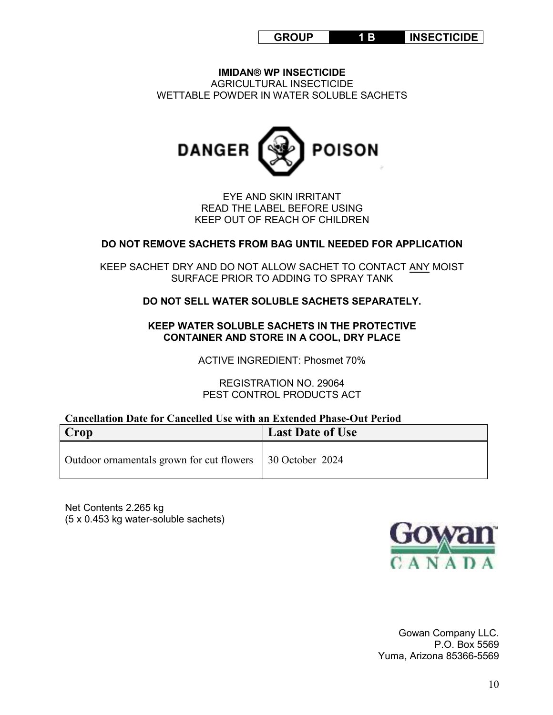| <b>GROUP</b> |  | <b>INSECTICIDE</b> |
|--------------|--|--------------------|
|--------------|--|--------------------|

**IMIDAN® WP INSECTICIDE** AGRICULTURAL INSECTICIDE WETTABLE POWDER IN WATER SOLUBLE SACHETS



EYE AND SKIN IRRITANT READ THE LABEL BEFORE USING KEEP OUT OF REACH OF CHILDREN

# **DO NOT REMOVE SACHETS FROM BAG UNTIL NEEDED FOR APPLICATION**

KEEP SACHET DRY AND DO NOT ALLOW SACHET TO CONTACT ANY MOIST SURFACE PRIOR TO ADDING TO SPRAY TANK

# **DO NOT SELL WATER SOLUBLE SACHETS SEPARATELY.**

**KEEP WATER SOLUBLE SACHETS IN THE PROTECTIVE CONTAINER AND STORE IN A COOL, DRY PLACE** 

ACTIVE INGREDIENT: Phosmet 70%

REGISTRATION NO. 29064 PEST CONTROL PRODUCTS ACT

# **Cancellation Date for Cancelled Use with an Extended Phase-Out Period**

| Crop                                                        | <b>Last Date of Use</b> |
|-------------------------------------------------------------|-------------------------|
| Outdoor ornamentals grown for cut flowers   30 October 2024 |                         |

Net Contents 2.265 kg (5 x 0.453 kg water-soluble sachets)



Gowan Company LLC. P.O. Box 5569 Yuma, Arizona 85366-5569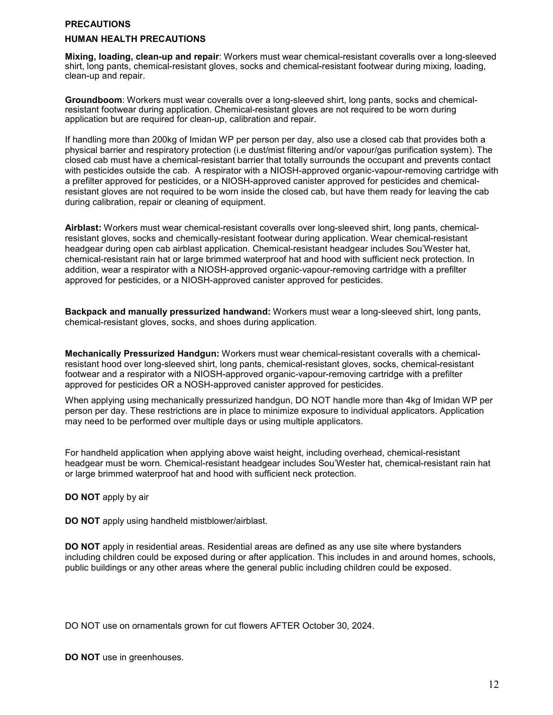#### **PRECAUTIONS**

#### **HUMAN HEALTH PRECAUTIONS**

**Mixing, loading, clean-up and repair**: Workers must wear chemical-resistant coveralls over a long-sleeved shirt, long pants, chemical-resistant gloves, socks and chemical-resistant footwear during mixing, loading, clean-up and repair.

**Groundboom**: Workers must wear coveralls over a long-sleeved shirt, long pants, socks and chemicalresistant footwear during application. Chemical-resistant gloves are not required to be worn during application but are required for clean-up, calibration and repair.

If handling more than 200kg of Imidan WP per person per day, also use a closed cab that provides both a physical barrier and respiratory protection (i.e dust/mist filtering and/or vapour/gas purification system). The closed cab must have a chemical-resistant barrier that totally surrounds the occupant and prevents contact with pesticides outside the cab. A respirator with a NIOSH-approved organic-vapour-removing cartridge with a prefilter approved for pesticides, or a NIOSH-approved canister approved for pesticides and chemicalresistant gloves are not required to be worn inside the closed cab, but have them ready for leaving the cab during calibration, repair or cleaning of equipment.

**Airblast:** Workers must wear chemical-resistant coveralls over long-sleeved shirt, long pants, chemicalresistant gloves, socks and chemically-resistant footwear during application. Wear chemical-resistant headgear during open cab airblast application. Chemical-resistant headgear includes Sou'Wester hat, chemical-resistant rain hat or large brimmed waterproof hat and hood with sufficient neck protection. In addition, wear a respirator with a NIOSH-approved organic-vapour-removing cartridge with a prefilter approved for pesticides, or a NIOSH-approved canister approved for pesticides.

**Backpack and manually pressurized handwand:** Workers must wear a long-sleeved shirt, long pants, chemical-resistant gloves, socks, and shoes during application.

**Mechanically Pressurized Handgun:** Workers must wear chemical-resistant coveralls with a chemicalresistant hood over long-sleeved shirt, long pants, chemical-resistant gloves, socks, chemical-resistant footwear and a respirator with a NIOSH-approved organic-vapour-removing cartridge with a prefilter approved for pesticides OR a NOSH-approved canister approved for pesticides.

When applying using mechanically pressurized handgun, DO NOT handle more than 4kg of Imidan WP per person per day. These restrictions are in place to minimize exposure to individual applicators. Application may need to be performed over multiple days or using multiple applicators.

For handheld application when applying above waist height, including overhead, chemical-resistant headgear must be worn. Chemical-resistant headgear includes Sou'Wester hat, chemical-resistant rain hat or large brimmed waterproof hat and hood with sufficient neck protection.

**DO NOT** apply by air

**DO NOT** apply using handheld mistblower/airblast.

**DO NOT** apply in residential areas. Residential areas are defined as any use site where bystanders including children could be exposed during or after application. This includes in and around homes, schools, public buildings or any other areas where the general public including children could be exposed.

DO NOT use on ornamentals grown for cut flowers AFTER October 30, 2024.

**DO NOT** use in greenhouses.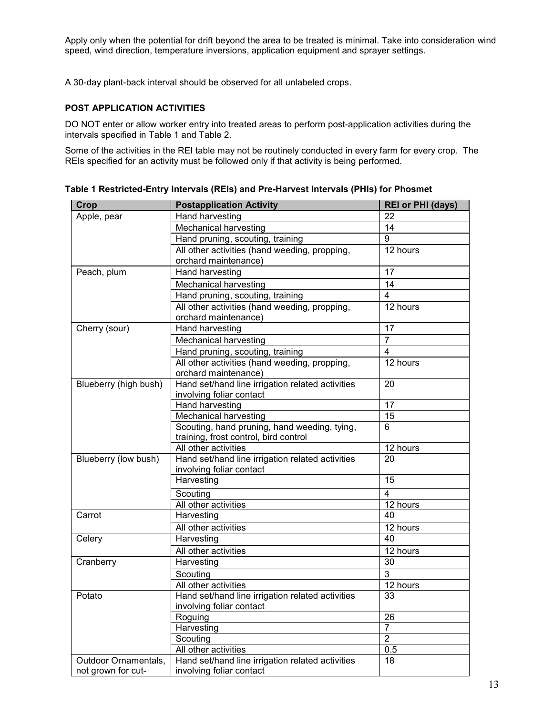Apply only when the potential for drift beyond the area to be treated is minimal. Take into consideration wind speed, wind direction, temperature inversions, application equipment and sprayer settings.

A 30-day plant-back interval should be observed for all unlabeled crops.

### **POST APPLICATION ACTIVITIES**

DO NOT enter or allow worker entry into treated areas to perform post-application activities during the intervals specified in Table 1 and Table 2.

Some of the activities in the REI table may not be routinely conducted in every farm for every crop. The REIs specified for an activity must be followed only if that activity is being performed.

| Crop                  | <b>Postapplication Activity</b>                  | <b>REI or PHI (days)</b> |  |
|-----------------------|--------------------------------------------------|--------------------------|--|
| Apple, pear           | <b>Hand harvesting</b>                           | 22                       |  |
|                       | Mechanical harvesting                            | 14                       |  |
|                       | Hand pruning, scouting, training                 | 9                        |  |
|                       | All other activities (hand weeding, propping,    | 12 hours                 |  |
|                       | orchard maintenance)                             |                          |  |
| Peach, plum           | Hand harvesting                                  | 17                       |  |
|                       | Mechanical harvesting                            | 14                       |  |
|                       | Hand pruning, scouting, training                 | 4                        |  |
|                       | All other activities (hand weeding, propping,    | 12 hours                 |  |
|                       | orchard maintenance)                             |                          |  |
| Cherry (sour)         | Hand harvesting                                  | 17                       |  |
|                       | <b>Mechanical harvesting</b>                     | $\overline{7}$           |  |
|                       | Hand pruning, scouting, training                 | $\overline{4}$           |  |
|                       | All other activities (hand weeding, propping,    | 12 hours                 |  |
|                       | orchard maintenance)                             |                          |  |
| Blueberry (high bush) | Hand set/hand line irrigation related activities | 20                       |  |
|                       | involving foliar contact                         |                          |  |
|                       | Hand harvesting                                  | 17                       |  |
|                       | <b>Mechanical harvesting</b>                     | 15                       |  |
|                       | Scouting, hand pruning, hand weeding, tying,     | 6                        |  |
|                       | training, frost control, bird control            |                          |  |
|                       | All other activities                             | 12 hours                 |  |
| Blueberry (low bush)  | Hand set/hand line irrigation related activities | 20                       |  |
|                       | involving foliar contact                         |                          |  |
|                       | Harvesting                                       | 15                       |  |
|                       | Scouting                                         | 4                        |  |
|                       | All other activities                             | 12 hours                 |  |
| Carrot                | Harvesting                                       | 40                       |  |
|                       | All other activities                             | 12 hours                 |  |
| Celery                | Harvesting                                       | 40                       |  |
|                       | All other activities                             | 12 hours                 |  |
| Cranberry             | Harvesting                                       | 30                       |  |
|                       | Scouting                                         | 3                        |  |
|                       | All other activities                             | 12 hours                 |  |
| Potato                | Hand set/hand line irrigation related activities | 33                       |  |
|                       | involving foliar contact                         |                          |  |
|                       | Roguing                                          | 26                       |  |
|                       | Harvesting                                       | $\overline{7}$           |  |
|                       | Scouting                                         | $\overline{2}$           |  |
|                       | All other activities                             | 0.5                      |  |
| Outdoor Ornamentals,  | Hand set/hand line irrigation related activities | 18                       |  |
| not grown for cut-    | involving foliar contact                         |                          |  |

**Table 1 Restricted-Entry Intervals (REIs) and Pre-Harvest Intervals (PHIs) for Phosmet**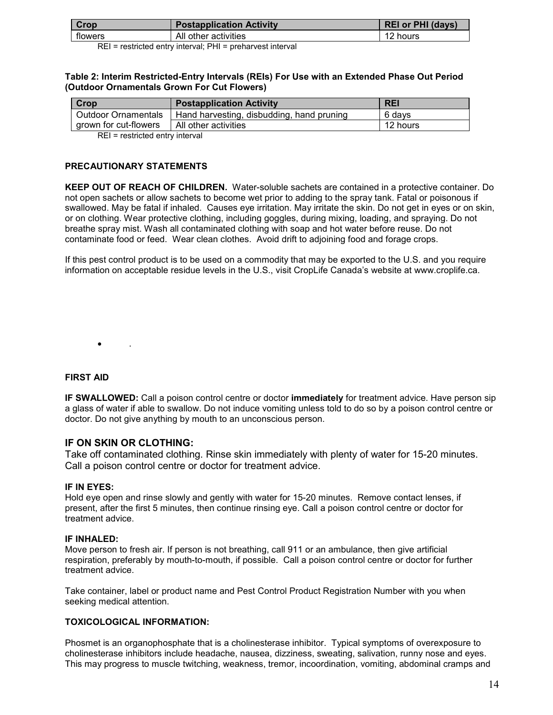| Crop    | <b>Postapplication Activity</b> | <b>REI or PHI (days)</b> |  |
|---------|---------------------------------|--------------------------|--|
| flowers | All other activities            | 12<br>hours              |  |

REI = restricted entry interval; PHI = preharvest interval

#### **Table 2: Interim Restricted-Entry Intervals (REIs) For Use with an Extended Phase Out Period (Outdoor Ornamentals Grown For Cut Flowers)**

| Crop                  | <b>Postapplication Activity</b>           | <b>REI</b> |
|-----------------------|-------------------------------------------|------------|
| Outdoor Ornamentals   | Hand harvesting, disbudding, hand pruning | 6 davs     |
| arown for cut-flowers | All other activities                      | 12 hours   |

REI = restricted entry interval

#### **PRECAUTIONARY STATEMENTS**

**KEEP OUT OF REACH OF CHILDREN.** Water-soluble sachets are contained in a protective container. Do not open sachets or allow sachets to become wet prior to adding to the spray tank. Fatal or poisonous if swallowed. May be fatal if inhaled. Causes eye irritation. May irritate the skin. Do not get in eyes or on skin, or on clothing. Wear protective clothing, including goggles, during mixing, loading, and spraying. Do not breathe spray mist. Wash all contaminated clothing with soap and hot water before reuse. Do not contaminate food or feed. Wear clean clothes. Avoid drift to adjoining food and forage crops.

If this pest control product is to be used on a commodity that may be exported to the U.S. and you require information on acceptable residue levels in the U.S., visit CropLife Canada's website at www.croplife.ca.

 $\bullet$  .

## **FIRST AID**

**IF SWALLOWED:** Call a poison control centre or doctor **immediately** for treatment advice. Have person sip a glass of water if able to swallow. Do not induce vomiting unless told to do so by a poison control centre or doctor. Do not give anything by mouth to an unconscious person.

## **IF ON SKIN OR CLOTHING:**

Take off contaminated clothing. Rinse skin immediately with plenty of water for 15-20 minutes. Call a poison control centre or doctor for treatment advice.

#### **IF IN EYES:**

Hold eye open and rinse slowly and gently with water for 15-20 minutes. Remove contact lenses, if present, after the first 5 minutes, then continue rinsing eye. Call a poison control centre or doctor for treatment advice.

#### **IF INHALED:**

Move person to fresh air. If person is not breathing, call 911 or an ambulance, then give artificial respiration, preferably by mouth-to-mouth, if possible. Call a poison control centre or doctor for further treatment advice.

Take container, label or product name and Pest Control Product Registration Number with you when seeking medical attention.

#### **TOXICOLOGICAL INFORMATION:**

Phosmet is an organophosphate that is a cholinesterase inhibitor. Typical symptoms of overexposure to cholinesterase inhibitors include headache, nausea, dizziness, sweating, salivation, runny nose and eyes. This may progress to muscle twitching, weakness, tremor, incoordination, vomiting, abdominal cramps and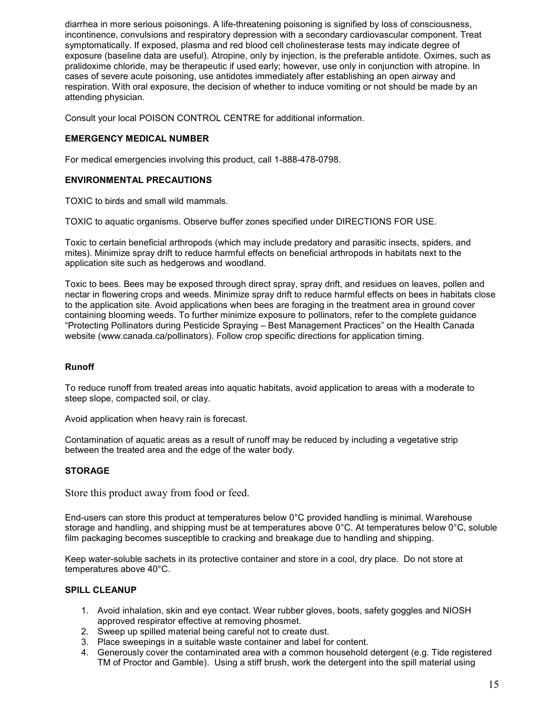diarrhea in more serious poisonings. A life-threatening poisoning is signified by loss of consciousness, incontinence, convulsions and respiratory depression with a secondary cardiovascular component. Treat symptomatically. If exposed, plasma and red blood cell cholinesterase tests may indicate degree of exposure (baseline data are useful). Atropine, only by injection, is the preferable antidote. Oximes, such as pralidoxime chloride, may be therapeutic if used early; however, use only in conjunction with atropine. In cases of severe acute poisoning, use antidotes immediately after establishing an open airway and respiration. With oral exposure, the decision of whether to induce vomiting or not should be made by an attending physician.

Consult your local POISON CONTROL CENTRE for additional information.

## **EMERGENCY MEDICAL NUMBER**

For medical emergencies involving this product, call 1-888-478-0798.

## **ENVIRONMENTAL PRECAUTIONS**

TOXIC to birds and small wild mammals.

TOXIC to aquatic organisms. Observe buffer zones specified under DIRECTIONS FOR USE.

Toxic to certain beneficial arthropods (which may include predatory and parasitic insects, spiders, and mites). Minimize spray drift to reduce harmful effects on beneficial arthropods in habitats next to the application site such as hedgerows and woodland.

Toxic to bees. Bees may be exposed through direct spray, spray drift, and residues on leaves, pollen and nectar in flowering crops and weeds. Minimize spray drift to reduce harmful effects on bees in habitats close to the application site. Avoid applications when bees are foraging in the treatment area in ground cover containing blooming weeds. To further minimize exposure to pollinators, refer to the complete guidance "Protecting Pollinators during Pesticide Spraying – Best Management Practices" on the Health Canada website (www.canada.ca/pollinators). Follow crop specific directions for application timing.

## **Runoff**

To reduce runoff from treated areas into aquatic habitats, avoid application to areas with a moderate to steep slope, compacted soil, or clay.

Avoid application when heavy rain is forecast.

Contamination of aquatic areas as a result of runoff may be reduced by including a vegetative strip between the treated area and the edge of the water body.

## **STORAGE**

Store this product away from food or feed.

End-users can store this product at temperatures below 0°C provided handling is minimal. Warehouse storage and handling, and shipping must be at temperatures above 0°C. At temperatures below 0°C, soluble film packaging becomes susceptible to cracking and breakage due to handling and shipping.

Keep water-soluble sachets in its protective container and store in a cool, dry place. Do not store at temperatures above 40°C.

#### **SPILL CLEANUP**

- 1. Avoid inhalation, skin and eye contact. Wear rubber gloves, boots, safety goggles and NIOSH approved respirator effective at removing phosmet.
- 2. Sweep up spilled material being careful not to create dust.
- 3. Place sweepings in a suitable waste container and label for content.
- 4. Generously cover the contaminated area with a common household detergent (e.g. Tide registered TM of Proctor and Gamble). Using a stiff brush, work the detergent into the spill material using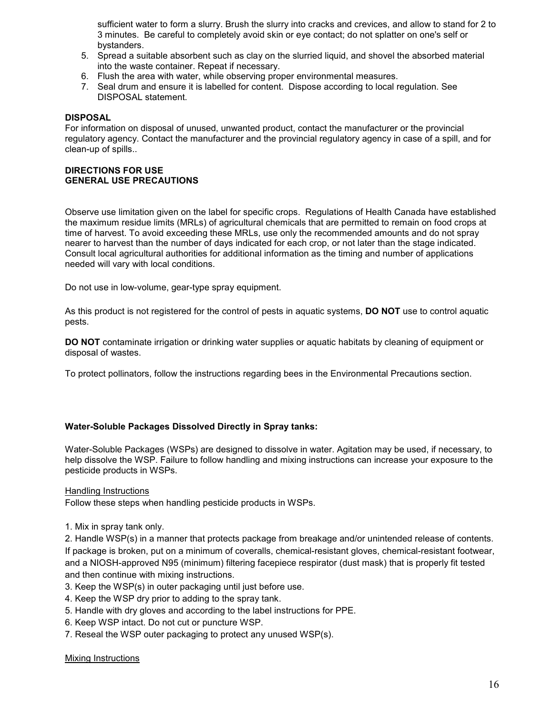sufficient water to form a slurry. Brush the slurry into cracks and crevices, and allow to stand for 2 to 3 minutes. Be careful to completely avoid skin or eye contact; do not splatter on one's self or bystanders.

- 5. Spread a suitable absorbent such as clay on the slurried liquid, and shovel the absorbed material into the waste container. Repeat if necessary.
- 6. Flush the area with water, while observing proper environmental measures.
- 7. Seal drum and ensure it is labelled for content. Dispose according to local regulation. See DISPOSAL statement.

#### **DISPOSAL**

For information on disposal of unused, unwanted product, contact the manufacturer or the provincial regulatory agency. Contact the manufacturer and the provincial regulatory agency in case of a spill, and for clean-up of spills..

### **DIRECTIONS FOR USE GENERAL USE PRECAUTIONS**

Observe use limitation given on the label for specific crops. Regulations of Health Canada have established the maximum residue limits (MRLs) of agricultural chemicals that are permitted to remain on food crops at time of harvest. To avoid exceeding these MRLs, use only the recommended amounts and do not spray nearer to harvest than the number of days indicated for each crop, or not later than the stage indicated. Consult local agricultural authorities for additional information as the timing and number of applications needed will vary with local conditions.

Do not use in low-volume, gear-type spray equipment.

As this product is not registered for the control of pests in aquatic systems, **DO NOT** use to control aquatic pests.

**DO NOT** contaminate irrigation or drinking water supplies or aquatic habitats by cleaning of equipment or disposal of wastes.

To protect pollinators, follow the instructions regarding bees in the Environmental Precautions section.

#### **Water-Soluble Packages Dissolved Directly in Spray tanks:**

Water-Soluble Packages (WSPs) are designed to dissolve in water. Agitation may be used, if necessary, to help dissolve the WSP. Failure to follow handling and mixing instructions can increase your exposure to the pesticide products in WSPs.

#### Handling Instructions

Follow these steps when handling pesticide products in WSPs.

1. Mix in spray tank only.

2. Handle WSP(s) in a manner that protects package from breakage and/or unintended release of contents. If package is broken, put on a minimum of coveralls, chemical-resistant gloves, chemical-resistant footwear, and a NIOSH-approved N95 (minimum) filtering facepiece respirator (dust mask) that is properly fit tested and then continue with mixing instructions.

- 3. Keep the WSP(s) in outer packaging until just before use.
- 4. Keep the WSP dry prior to adding to the spray tank.
- 5. Handle with dry gloves and according to the label instructions for PPE.
- 6. Keep WSP intact. Do not cut or puncture WSP.
- 7. Reseal the WSP outer packaging to protect any unused WSP(s).

#### Mixing Instructions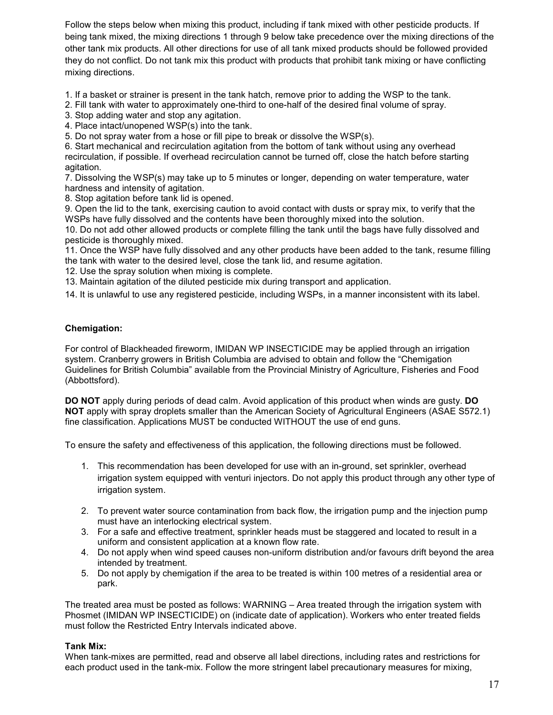Follow the steps below when mixing this product, including if tank mixed with other pesticide products. If being tank mixed, the mixing directions 1 through 9 below take precedence over the mixing directions of the other tank mix products. All other directions for use of all tank mixed products should be followed provided they do not conflict. Do not tank mix this product with products that prohibit tank mixing or have conflicting mixing directions.

1. If a basket or strainer is present in the tank hatch, remove prior to adding the WSP to the tank.

2. Fill tank with water to approximately one-third to one-half of the desired final volume of spray.

3. Stop adding water and stop any agitation.

4. Place intact/unopened WSP(s) into the tank.

5. Do not spray water from a hose or fill pipe to break or dissolve the WSP(s).

6. Start mechanical and recirculation agitation from the bottom of tank without using any overhead recirculation, if possible. If overhead recirculation cannot be turned off, close the hatch before starting agitation.

7. Dissolving the WSP(s) may take up to 5 minutes or longer, depending on water temperature, water hardness and intensity of agitation.

8. Stop agitation before tank lid is opened.

9. Open the lid to the tank, exercising caution to avoid contact with dusts or spray mix, to verify that the WSPs have fully dissolved and the contents have been thoroughly mixed into the solution.

10. Do not add other allowed products or complete filling the tank until the bags have fully dissolved and pesticide is thoroughly mixed.

11. Once the WSP have fully dissolved and any other products have been added to the tank, resume filling the tank with water to the desired level, close the tank lid, and resume agitation.

12. Use the spray solution when mixing is complete.

13. Maintain agitation of the diluted pesticide mix during transport and application.

14. It is unlawful to use any registered pesticide, including WSPs, in a manner inconsistent with its label.

### **Chemigation:**

For control of Blackheaded fireworm, IMIDAN WP INSECTICIDE may be applied through an irrigation system. Cranberry growers in British Columbia are advised to obtain and follow the "Chemigation Guidelines for British Columbia" available from the Provincial Ministry of Agriculture, Fisheries and Food (Abbottsford).

**DO NOT** apply during periods of dead calm. Avoid application of this product when winds are gusty. **DO NOT** apply with spray droplets smaller than the American Society of Agricultural Engineers (ASAE S572.1) fine classification. Applications MUST be conducted WITHOUT the use of end guns.

To ensure the safety and effectiveness of this application, the following directions must be followed.

- 1. This recommendation has been developed for use with an in-ground, set sprinkler, overhead irrigation system equipped with venturi injectors. Do not apply this product through any other type of irrigation system.
- 2. To prevent water source contamination from back flow, the irrigation pump and the injection pump must have an interlocking electrical system.
- 3. For a safe and effective treatment, sprinkler heads must be staggered and located to result in a uniform and consistent application at a known flow rate.
- 4. Do not apply when wind speed causes non-uniform distribution and/or favours drift beyond the area intended by treatment.
- 5. Do not apply by chemigation if the area to be treated is within 100 metres of a residential area or park.

The treated area must be posted as follows: WARNING – Area treated through the irrigation system with Phosmet (IMIDAN WP INSECTICIDE) on (indicate date of application). Workers who enter treated fields must follow the Restricted Entry Intervals indicated above.

#### **Tank Mix:**

When tank-mixes are permitted, read and observe all label directions, including rates and restrictions for each product used in the tank-mix. Follow the more stringent label precautionary measures for mixing,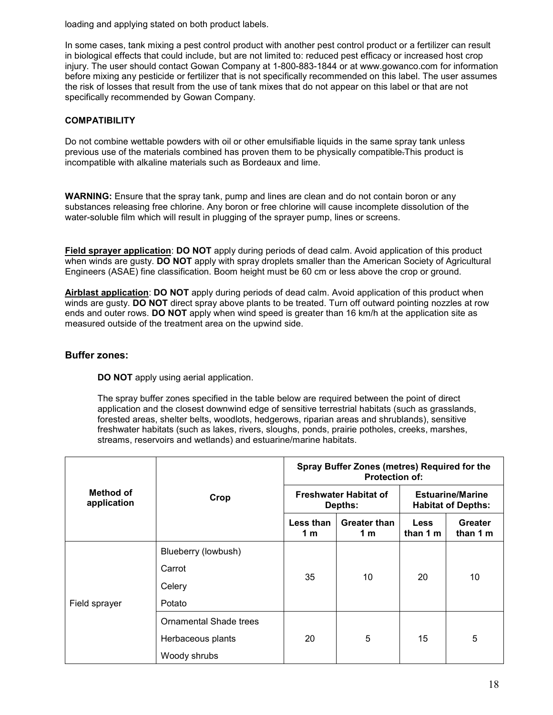loading and applying stated on both product labels.

In some cases, tank mixing a pest control product with another pest control product or a fertilizer can result in biological effects that could include, but are not limited to: reduced pest efficacy or increased host crop injury. The user should contact Gowan Company at 1-800-883-1844 or at www.gowanco.com for information before mixing any pesticide or fertilizer that is not specifically recommended on this label. The user assumes the risk of losses that result from the use of tank mixes that do not appear on this label or that are not specifically recommended by Gowan Company.

## **COMPATIBILITY**

Do not combine wettable powders with oil or other emulsifiable liquids in the same spray tank unless previous use of the materials combined has proven them to be physically compatible.This product is incompatible with alkaline materials such as Bordeaux and lime.

**WARNING:** Ensure that the spray tank, pump and lines are clean and do not contain boron or any substances releasing free chlorine. Any boron or free chlorine will cause incomplete dissolution of the water-soluble film which will result in plugging of the sprayer pump, lines or screens.

**Field sprayer application**: **DO NOT** apply during periods of dead calm. Avoid application of this product when winds are gusty. **DO NOT** apply with spray droplets smaller than the American Society of Agricultural Engineers (ASAE) fine classification. Boom height must be 60 cm or less above the crop or ground.

**Airblast application**: **DO NOT** apply during periods of dead calm. Avoid application of this product when winds are gusty. **DO NOT** direct spray above plants to be treated. Turn off outward pointing nozzles at row ends and outer rows. **DO NOT** apply when wind speed is greater than 16 km/h at the application site as measured outside of the treatment area on the upwind side.

## **Buffer zones:**

**DO NOT** apply using aerial application.

The spray buffer zones specified in the table below are required between the point of direct application and the closest downwind edge of sensitive terrestrial habitats (such as grasslands, forested areas, shelter belts, woodlots, hedgerows, riparian areas and shrublands), sensitive freshwater habitats (such as lakes, rivers, sloughs, ponds, prairie potholes, creeks, marshes, streams, reservoirs and wetlands) and estuarine/marine habitats.

| Method of<br>application |                               | Spray Buffer Zones (metres) Required for the<br><b>Protection of:</b> |                            |                                                      |                     |
|--------------------------|-------------------------------|-----------------------------------------------------------------------|----------------------------|------------------------------------------------------|---------------------|
|                          | Crop                          | <b>Freshwater Habitat of</b><br>Depths:                               |                            | <b>Estuarine/Marine</b><br><b>Habitat of Depths:</b> |                     |
|                          |                               | Less than<br>1 m                                                      | <b>Greater than</b><br>1 m | <b>Less</b><br>than 1 m                              | Greater<br>than 1 m |
| Field sprayer            | Blueberry (lowbush)           |                                                                       | 10                         | 20                                                   | 10                  |
|                          | Carrot                        | 35                                                                    |                            |                                                      |                     |
|                          | Celery                        |                                                                       |                            |                                                      |                     |
|                          | Potato                        |                                                                       |                            |                                                      |                     |
|                          | <b>Ornamental Shade trees</b> |                                                                       |                            |                                                      |                     |
|                          | Herbaceous plants             | 20                                                                    | 5<br>15                    |                                                      | 5                   |
|                          | Woody shrubs                  |                                                                       |                            |                                                      |                     |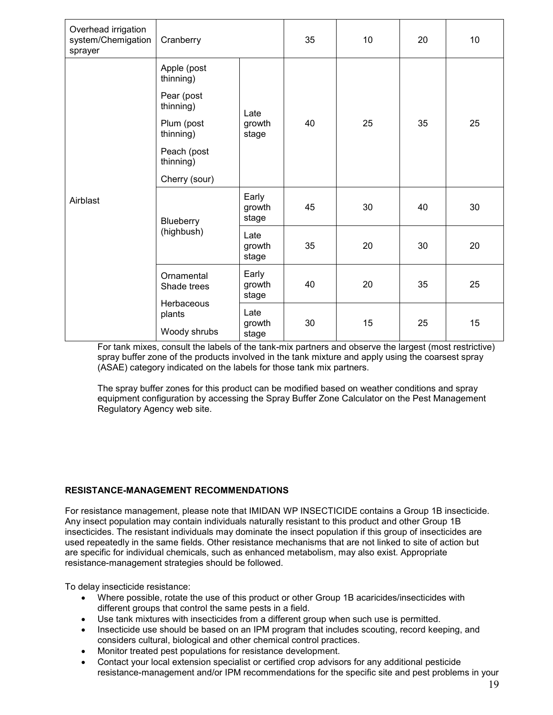| Overhead irrigation<br>system/Chemigation<br>sprayer | Cranberry                            |                          | 35 | 10 | 20 | 10 |
|------------------------------------------------------|--------------------------------------|--------------------------|----|----|----|----|
|                                                      | Apple (post<br>thinning)             |                          |    |    |    |    |
|                                                      | Pear (post<br>thinning)              | Late<br>growth<br>stage  |    |    |    |    |
|                                                      | Plum (post<br>thinning)              |                          | 40 | 25 | 35 | 25 |
|                                                      | Peach (post<br>thinning)             |                          |    |    |    |    |
|                                                      | Cherry (sour)                        |                          |    |    |    |    |
| Airblast                                             | Blueberry                            | Early<br>growth<br>stage | 45 | 30 | 40 | 30 |
|                                                      | (highbush)                           | Late<br>growth<br>stage  | 35 | 20 | 30 | 20 |
|                                                      | Ornamental<br>Shade trees            | Early<br>growth<br>stage | 40 | 20 | 35 | 25 |
|                                                      | Herbaceous<br>plants<br>Woody shrubs | Late<br>growth<br>stage  | 30 | 15 | 25 | 15 |

For tank mixes, consult the labels of the tank-mix partners and observe the largest (most restrictive) spray buffer zone of the products involved in the tank mixture and apply using the coarsest spray (ASAE) category indicated on the labels for those tank mix partners.

The spray buffer zones for this product can be modified based on weather conditions and spray equipment configuration by accessing the Spray Buffer Zone Calculator on the Pest Management Regulatory Agency web site.

## **RESISTANCE-MANAGEMENT RECOMMENDATIONS**

For resistance management, please note that IMIDAN WP INSECTICIDE contains a Group 1B insecticide. Any insect population may contain individuals naturally resistant to this product and other Group 1B insecticides. The resistant individuals may dominate the insect population if this group of insecticides are used repeatedly in the same fields. Other resistance mechanisms that are not linked to site of action but are specific for individual chemicals, such as enhanced metabolism, may also exist. Appropriate resistance-management strategies should be followed.

To delay insecticide resistance:

- Where possible, rotate the use of this product or other Group 1B acaricides/insecticides with different groups that control the same pests in a field.
- Use tank mixtures with insecticides from a different group when such use is permitted.
- Insecticide use should be based on an IPM program that includes scouting, record keeping, and considers cultural, biological and other chemical control practices.
- Monitor treated pest populations for resistance development.
- Contact your local extension specialist or certified crop advisors for any additional pesticide resistance-management and/or IPM recommendations for the specific site and pest problems in your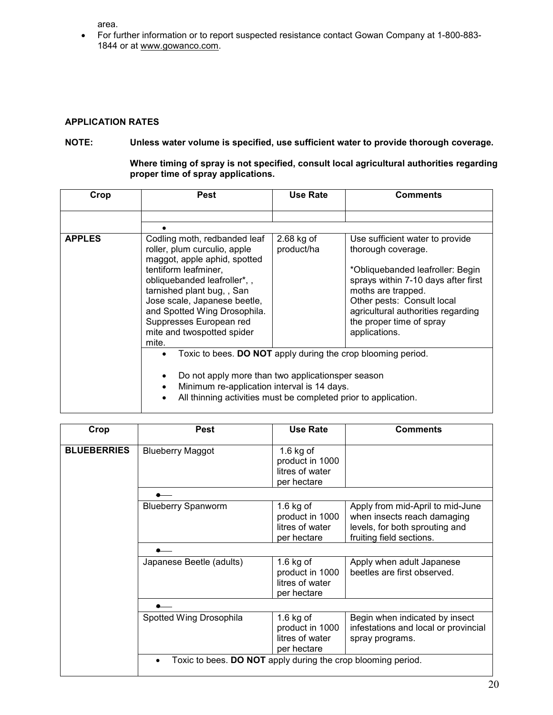area.

 For further information or to report suspected resistance contact Gowan Company at 1-800-883- 1844 or at www.gowanco.com.

## **APPLICATION RATES**

## **NOTE: Unless water volume is specified, use sufficient water to provide thorough coverage.**

**Where timing of spray is not specified, consult local agricultural authorities regarding proper time of spray applications.** 

| Crop          | <b>Pest</b>                                                                                                                                                                                                                                                                                               | Use Rate                   | Comments                                                                                                                                                                                                                                                                |
|---------------|-----------------------------------------------------------------------------------------------------------------------------------------------------------------------------------------------------------------------------------------------------------------------------------------------------------|----------------------------|-------------------------------------------------------------------------------------------------------------------------------------------------------------------------------------------------------------------------------------------------------------------------|
|               |                                                                                                                                                                                                                                                                                                           |                            |                                                                                                                                                                                                                                                                         |
|               |                                                                                                                                                                                                                                                                                                           |                            |                                                                                                                                                                                                                                                                         |
| <b>APPLES</b> | Codling moth, redbanded leaf<br>roller, plum curculio, apple<br>maggot, apple aphid, spotted<br>tentiform leafminer,<br>obliquebanded leafroller*,,<br>tarnished plant bug,, San<br>Jose scale, Japanese beetle,<br>and Spotted Wing Drosophila.<br>Suppresses European red<br>mite and twospotted spider | $2.68$ kg of<br>product/ha | Use sufficient water to provide<br>thorough coverage.<br>*Obliquebanded leafroller: Begin<br>sprays within 7-10 days after first<br>moths are trapped.<br>Other pests: Consult local<br>agricultural authorities regarding<br>the proper time of spray<br>applications. |
|               | mite.<br>Toxic to bees. DO NOT apply during the crop blooming period.<br>Do not apply more than two applicationsper season<br>Minimum re-application interval is 14 days.<br>All thinning activities must be completed prior to application.                                                              |                            |                                                                                                                                                                                                                                                                         |

| Crop               | <b>Pest</b>                                                  | Use Rate                                                         | <b>Comments</b>                                                                                                               |
|--------------------|--------------------------------------------------------------|------------------------------------------------------------------|-------------------------------------------------------------------------------------------------------------------------------|
| <b>BLUEBERRIES</b> | <b>Blueberry Maggot</b>                                      | 1.6 $kg$ of<br>product in 1000<br>litres of water<br>per hectare |                                                                                                                               |
|                    |                                                              |                                                                  |                                                                                                                               |
|                    | <b>Blueberry Spanworm</b>                                    | $1.6$ kg of<br>product in 1000<br>litres of water<br>per hectare | Apply from mid-April to mid-June<br>when insects reach damaging<br>levels, for both sprouting and<br>fruiting field sections. |
|                    |                                                              |                                                                  |                                                                                                                               |
|                    | Japanese Beetle (adults)                                     | $1.6$ kg of<br>product in 1000<br>litres of water<br>per hectare | Apply when adult Japanese<br>beetles are first observed.                                                                      |
|                    |                                                              |                                                                  |                                                                                                                               |
|                    | Spotted Wing Drosophila                                      | $1.6$ kg of<br>product in 1000<br>litres of water<br>per hectare | Begin when indicated by insect<br>infestations and local or provincial<br>spray programs.                                     |
|                    | Toxic to bees. DO NOT apply during the crop blooming period. |                                                                  |                                                                                                                               |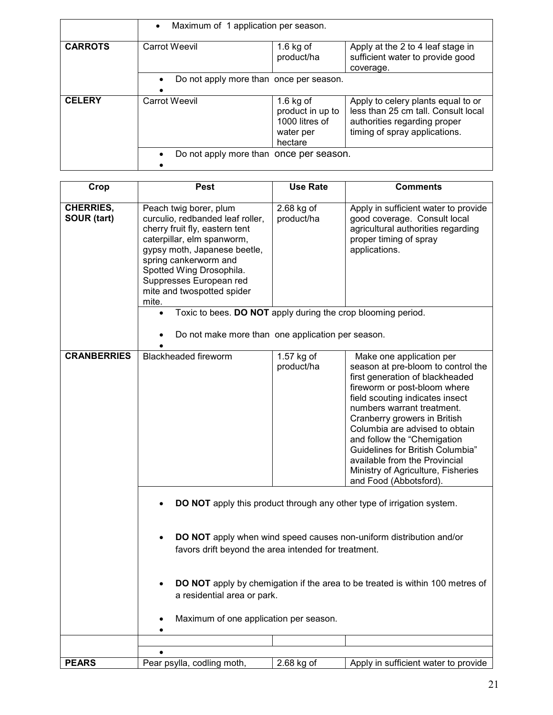|                | Maximum of 1 application per season.                 |                                                                           |                                                                                                                                            |
|----------------|------------------------------------------------------|---------------------------------------------------------------------------|--------------------------------------------------------------------------------------------------------------------------------------------|
| <b>CARROTS</b> | <b>Carrot Weevil</b>                                 | $1.6$ kg of<br>product/ha                                                 | Apply at the 2 to 4 leaf stage in<br>sufficient water to provide good<br>coverage.                                                         |
|                | Do not apply more than once per season.<br>$\bullet$ |                                                                           |                                                                                                                                            |
| <b>CELERY</b>  | <b>Carrot Weevil</b>                                 | $1.6$ kg of<br>product in up to<br>1000 litres of<br>water per<br>hectare | Apply to celery plants equal to or<br>less than 25 cm tall. Consult local<br>authorities regarding proper<br>timing of spray applications. |
|                | Do not apply more than once per season.              |                                                                           |                                                                                                                                            |

| Crop                                   | <b>Pest</b>                                                                                                                                                                                                                                                                       | <b>Use Rate</b>          | <b>Comments</b>                                                                                                                                                                                                                                                                                                                                                                                                                          |
|----------------------------------------|-----------------------------------------------------------------------------------------------------------------------------------------------------------------------------------------------------------------------------------------------------------------------------------|--------------------------|------------------------------------------------------------------------------------------------------------------------------------------------------------------------------------------------------------------------------------------------------------------------------------------------------------------------------------------------------------------------------------------------------------------------------------------|
| <b>CHERRIES,</b><br><b>SOUR (tart)</b> | Peach twig borer, plum<br>curculio, redbanded leaf roller,<br>cherry fruit fly, eastern tent<br>caterpillar, elm spanworm,<br>gypsy moth, Japanese beetle,<br>spring cankerworm and<br>Spotted Wing Drosophila.<br>Suppresses European red<br>mite and twospotted spider<br>mite. | 2.68 kg of<br>product/ha | Apply in sufficient water to provide<br>good coverage. Consult local<br>agricultural authorities regarding<br>proper timing of spray<br>applications.                                                                                                                                                                                                                                                                                    |
|                                        | Toxic to bees. DO NOT apply during the crop blooming period.<br>$\bullet$                                                                                                                                                                                                         |                          |                                                                                                                                                                                                                                                                                                                                                                                                                                          |
|                                        | Do not make more than one application per season.                                                                                                                                                                                                                                 |                          |                                                                                                                                                                                                                                                                                                                                                                                                                                          |
| <b>CRANBERRIES</b>                     | <b>Blackheaded fireworm</b>                                                                                                                                                                                                                                                       | 1.57 kg of<br>product/ha | Make one application per<br>season at pre-bloom to control the<br>first generation of blackheaded<br>fireworm or post-bloom where<br>field scouting indicates insect<br>numbers warrant treatment.<br>Cranberry growers in British<br>Columbia are advised to obtain<br>and follow the "Chemigation<br>Guidelines for British Columbia"<br>available from the Provincial<br>Ministry of Agriculture, Fisheries<br>and Food (Abbotsford). |
|                                        |                                                                                                                                                                                                                                                                                   |                          | <b>DO NOT</b> apply this product through any other type of irrigation system.                                                                                                                                                                                                                                                                                                                                                            |
|                                        | favors drift beyond the area intended for treatment.                                                                                                                                                                                                                              |                          | DO NOT apply when wind speed causes non-uniform distribution and/or                                                                                                                                                                                                                                                                                                                                                                      |
|                                        | a residential area or park.                                                                                                                                                                                                                                                       |                          | DO NOT apply by chemigation if the area to be treated is within 100 metres of                                                                                                                                                                                                                                                                                                                                                            |
|                                        | Maximum of one application per season.                                                                                                                                                                                                                                            |                          |                                                                                                                                                                                                                                                                                                                                                                                                                                          |
|                                        |                                                                                                                                                                                                                                                                                   |                          |                                                                                                                                                                                                                                                                                                                                                                                                                                          |
| <b>PEARS</b>                           | Pear psylla, codling moth,                                                                                                                                                                                                                                                        | 2.68 kg of               | Apply in sufficient water to provide                                                                                                                                                                                                                                                                                                                                                                                                     |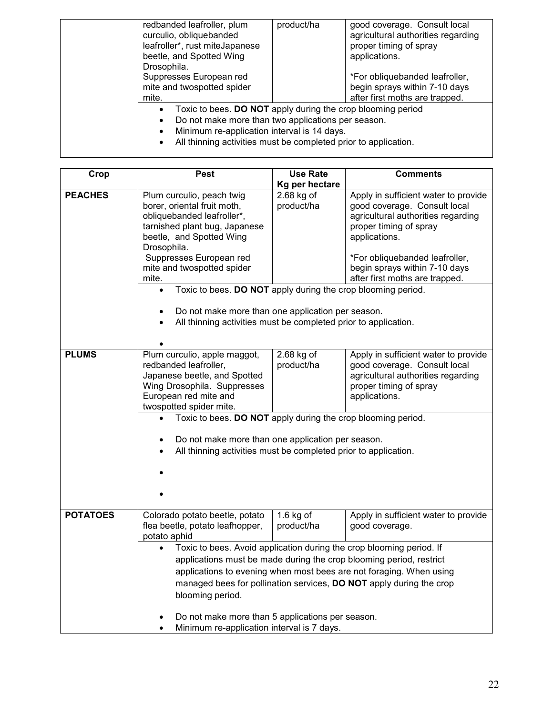| redbanded leafroller, plum<br>curculio, obliquebanded<br>leafroller*, rust miteJapanese<br>beetle, and Spotted Wing<br>Drosophila.<br>Suppresses European red<br>mite and twospotted spider<br>mite.                                | product/ha | good coverage. Consult local<br>agricultural authorities regarding<br>proper timing of spray<br>applications.<br>*For obliquebanded leafroller,<br>begin sprays within 7-10 days<br>after first moths are trapped. |
|-------------------------------------------------------------------------------------------------------------------------------------------------------------------------------------------------------------------------------------|------------|--------------------------------------------------------------------------------------------------------------------------------------------------------------------------------------------------------------------|
| Toxic to bees. DO NOT apply during the crop blooming period<br>Do not make more than two applications per season.<br>Minimum re-application interval is 14 days.<br>All thinning activities must be completed prior to application. |            |                                                                                                                                                                                                                    |

| Crop            | <b>Pest</b>                                                               | <b>Use Rate</b> | <b>Comments</b>                                                      |
|-----------------|---------------------------------------------------------------------------|-----------------|----------------------------------------------------------------------|
|                 |                                                                           | Kg per hectare  |                                                                      |
| <b>PEACHES</b>  | Plum curculio, peach twig                                                 | 2.68 kg of      | Apply in sufficient water to provide                                 |
|                 | borer, oriental fruit moth,                                               | product/ha      | good coverage. Consult local                                         |
|                 | obliquebanded leafroller*,                                                |                 | agricultural authorities regarding                                   |
|                 | tarnished plant bug, Japanese                                             |                 | proper timing of spray                                               |
|                 | beetle, and Spotted Wing                                                  |                 | applications.                                                        |
|                 | Drosophila.                                                               |                 |                                                                      |
|                 | Suppresses European red                                                   |                 | *For obliquebanded leafroller,                                       |
|                 | mite and twospotted spider                                                |                 | begin sprays within 7-10 days                                        |
|                 | mite.                                                                     |                 | after first moths are trapped.                                       |
|                 | Toxic to bees. DO NOT apply during the crop blooming period.<br>$\bullet$ |                 |                                                                      |
|                 |                                                                           |                 |                                                                      |
|                 | Do not make more than one application per season.                         |                 |                                                                      |
|                 | All thinning activities must be completed prior to application.           |                 |                                                                      |
|                 |                                                                           |                 |                                                                      |
| <b>PLUMS</b>    | Plum curculio, apple maggot,                                              | $2.68$ kg of    | Apply in sufficient water to provide                                 |
|                 | redbanded leafroller,                                                     | product/ha      | good coverage. Consult local                                         |
|                 | Japanese beetle, and Spotted                                              |                 | agricultural authorities regarding                                   |
|                 | Wing Drosophila. Suppresses                                               |                 | proper timing of spray                                               |
|                 | European red mite and                                                     |                 | applications.                                                        |
|                 | twospotted spider mite.                                                   |                 |                                                                      |
|                 | Toxic to bees. DO NOT apply during the crop blooming period.              |                 |                                                                      |
|                 |                                                                           |                 |                                                                      |
|                 | Do not make more than one application per season.                         |                 |                                                                      |
|                 | All thinning activities must be completed prior to application.           |                 |                                                                      |
|                 |                                                                           |                 |                                                                      |
|                 |                                                                           |                 |                                                                      |
|                 |                                                                           |                 |                                                                      |
|                 |                                                                           |                 |                                                                      |
| <b>POTATOES</b> | Colorado potato beetle, potato                                            | $1.6$ kg of     | Apply in sufficient water to provide                                 |
|                 | flea beetle, potato leafhopper,                                           | product/ha      | good coverage.                                                       |
|                 | potato aphid                                                              |                 |                                                                      |
|                 |                                                                           |                 | Toxic to bees. Avoid application during the crop blooming period. If |
|                 |                                                                           |                 | applications must be made during the crop blooming period, restrict  |
|                 | applications to evening when most bees are not foraging. When using       |                 |                                                                      |
|                 | managed bees for pollination services, DO NOT apply during the crop       |                 |                                                                      |
|                 | blooming period.                                                          |                 |                                                                      |
|                 |                                                                           |                 |                                                                      |
|                 | Do not make more than 5 applications per season.                          |                 |                                                                      |
|                 | Minimum re-application interval is 7 days.                                |                 |                                                                      |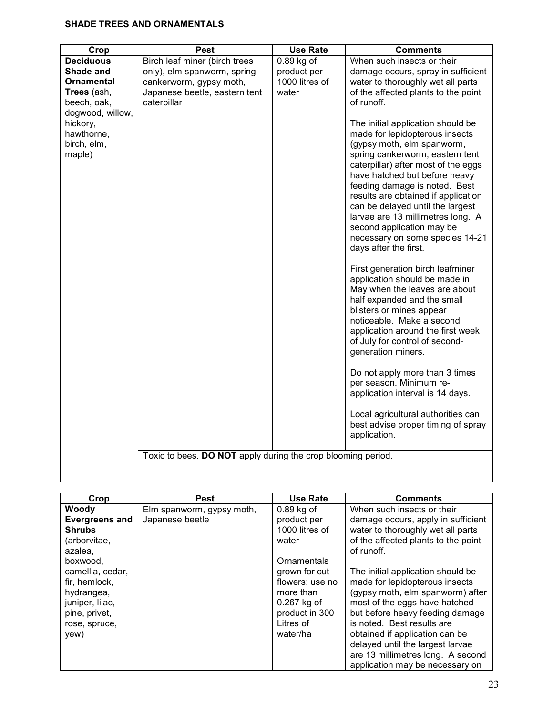## **SHADE TREES AND ORNAMENTALS**

|                                                                                                                                                          |                                                                                                                                                        | <b>Use Rate</b>                                        | <b>Comments</b>                                                                                                                                                                                                                                                                                                                                                                                                                                                                                                                                                                                                                                                                                                                                                                                                                                                                                                                                                                                                                                                                                              |
|----------------------------------------------------------------------------------------------------------------------------------------------------------|--------------------------------------------------------------------------------------------------------------------------------------------------------|--------------------------------------------------------|--------------------------------------------------------------------------------------------------------------------------------------------------------------------------------------------------------------------------------------------------------------------------------------------------------------------------------------------------------------------------------------------------------------------------------------------------------------------------------------------------------------------------------------------------------------------------------------------------------------------------------------------------------------------------------------------------------------------------------------------------------------------------------------------------------------------------------------------------------------------------------------------------------------------------------------------------------------------------------------------------------------------------------------------------------------------------------------------------------------|
| Crop<br><b>Deciduous</b><br>Shade and<br>Ornamental<br>Trees (ash,<br>beech, oak,<br>dogwood, willow,<br>hickory,<br>hawthorne,<br>birch, elm,<br>maple) | <b>Pest</b><br>Birch leaf miner (birch trees<br>only), elm spanworm, spring<br>cankerworm, gypsy moth,<br>Japanese beetle, eastern tent<br>caterpillar | $0.89$ kg of<br>product per<br>1000 litres of<br>water | When such insects or their<br>damage occurs, spray in sufficient<br>water to thoroughly wet all parts<br>of the affected plants to the point<br>of runoff.<br>The initial application should be<br>made for lepidopterous insects<br>(gypsy moth, elm spanworm,<br>spring cankerworm, eastern tent<br>caterpillar) after most of the eggs<br>have hatched but before heavy<br>feeding damage is noted. Best<br>results are obtained if application<br>can be delayed until the largest<br>larvae are 13 millimetres long. A<br>second application may be<br>necessary on some species 14-21<br>days after the first.<br>First generation birch leafminer<br>application should be made in<br>May when the leaves are about<br>half expanded and the small<br>blisters or mines appear<br>noticeable. Make a second<br>application around the first week<br>of July for control of second-<br>generation miners.<br>Do not apply more than 3 times<br>per season. Minimum re-<br>application interval is 14 days.<br>Local agricultural authorities can<br>best advise proper timing of spray<br>application. |
|                                                                                                                                                          | Toxic to bees. DO NOT apply during the crop blooming period.                                                                                           |                                                        |                                                                                                                                                                                                                                                                                                                                                                                                                                                                                                                                                                                                                                                                                                                                                                                                                                                                                                                                                                                                                                                                                                              |
|                                                                                                                                                          |                                                                                                                                                        |                                                        |                                                                                                                                                                                                                                                                                                                                                                                                                                                                                                                                                                                                                                                                                                                                                                                                                                                                                                                                                                                                                                                                                                              |

| Crop                                                                                                                                                                                                   | <b>Pest</b>                                  | <b>Use Rate</b>                                                                                                                                                                    | <b>Comments</b>                                                                                                                                                                                                                                                                                                                                                                                                                                                                    |
|--------------------------------------------------------------------------------------------------------------------------------------------------------------------------------------------------------|----------------------------------------------|------------------------------------------------------------------------------------------------------------------------------------------------------------------------------------|------------------------------------------------------------------------------------------------------------------------------------------------------------------------------------------------------------------------------------------------------------------------------------------------------------------------------------------------------------------------------------------------------------------------------------------------------------------------------------|
| Woody<br><b>Evergreens and</b><br><b>Shrubs</b><br>(arborvitae,<br>azalea,<br>boxwood,<br>camellia, cedar,<br>fir, hemlock,<br>hydrangea,<br>juniper, lilac,<br>pine, privet,<br>rose, spruce,<br>yew) | Elm spanworm, gypsy moth,<br>Japanese beetle | $0.89$ kg of<br>product per<br>1000 litres of<br>water<br>Ornamentals<br>grown for cut<br>flowers: use no<br>more than<br>$0.267$ kg of<br>product in 300<br>Litres of<br>water/ha | When such insects or their<br>damage occurs, apply in sufficient<br>water to thoroughly wet all parts<br>of the affected plants to the point<br>of runoff.<br>The initial application should be<br>made for lepidopterous insects<br>(gypsy moth, elm spanworm) after<br>most of the eggs have hatched<br>but before heavy feeding damage<br>is noted. Best results are<br>obtained if application can be<br>delayed until the largest larvae<br>are 13 millimetres long. A second |
|                                                                                                                                                                                                        |                                              |                                                                                                                                                                                    | application may be necessary on                                                                                                                                                                                                                                                                                                                                                                                                                                                    |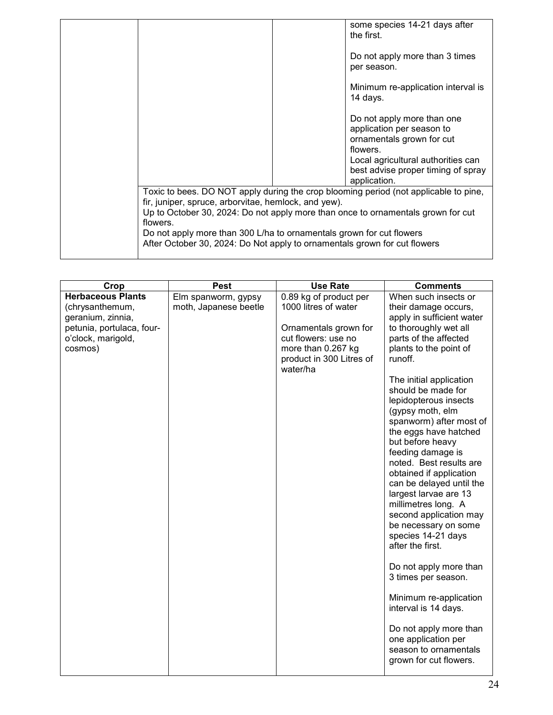|                                                                           | some species 14-21 days after                                                        |
|---------------------------------------------------------------------------|--------------------------------------------------------------------------------------|
|                                                                           | the first.                                                                           |
|                                                                           | Do not apply more than 3 times                                                       |
|                                                                           | per season.                                                                          |
|                                                                           | Minimum re-application interval is                                                   |
|                                                                           | 14 days.                                                                             |
|                                                                           | Do not apply more than one                                                           |
|                                                                           | application per season to                                                            |
|                                                                           | ornamentals grown for cut<br>flowers.                                                |
|                                                                           | Local agricultural authorities can                                                   |
|                                                                           | best advise proper timing of spray<br>application.                                   |
|                                                                           |                                                                                      |
|                                                                           | Toxic to bees. DO NOT apply during the crop blooming period (not applicable to pine, |
| fir, juniper, spruce, arborvitae, hemlock, and yew).                      |                                                                                      |
| flowers.                                                                  | Up to October 30, 2024: Do not apply more than once to ornamentals grown for cut     |
| Do not apply more than 300 L/ha to ornamentals grown for cut flowers      |                                                                                      |
| After October 30, 2024: Do Not apply to ornamentals grown for cut flowers |                                                                                      |
|                                                                           |                                                                                      |

| <b>Herbaceous Plants</b><br>Elm spanworm, gypsy                                                                             | 0.89 kg of product per<br>1000 litres of water                                                             | When such insects or                                                                                                                                                                                                                                                                                                                                                                                                                                                                                                                                                                                                                                                                                                                                                     |
|-----------------------------------------------------------------------------------------------------------------------------|------------------------------------------------------------------------------------------------------------|--------------------------------------------------------------------------------------------------------------------------------------------------------------------------------------------------------------------------------------------------------------------------------------------------------------------------------------------------------------------------------------------------------------------------------------------------------------------------------------------------------------------------------------------------------------------------------------------------------------------------------------------------------------------------------------------------------------------------------------------------------------------------|
| (chrysanthemum,<br>moth, Japanese beetle<br>geranium, zinnia,<br>petunia, portulaca, four-<br>o'clock, marigold,<br>cosmos) | Ornamentals grown for<br>cut flowers: use no<br>more than 0.267 kg<br>product in 300 Litres of<br>water/ha | their damage occurs,<br>apply in sufficient water<br>to thoroughly wet all<br>parts of the affected<br>plants to the point of<br>runoff.<br>The initial application<br>should be made for<br>lepidopterous insects<br>(gypsy moth, elm<br>spanworm) after most of<br>the eggs have hatched<br>but before heavy<br>feeding damage is<br>noted. Best results are<br>obtained if application<br>can be delayed until the<br>largest larvae are 13<br>millimetres long. A<br>second application may<br>be necessary on some<br>species 14-21 days<br>after the first.<br>Do not apply more than<br>3 times per season.<br>Minimum re-application<br>interval is 14 days.<br>Do not apply more than<br>one application per<br>season to ornamentals<br>grown for cut flowers. |